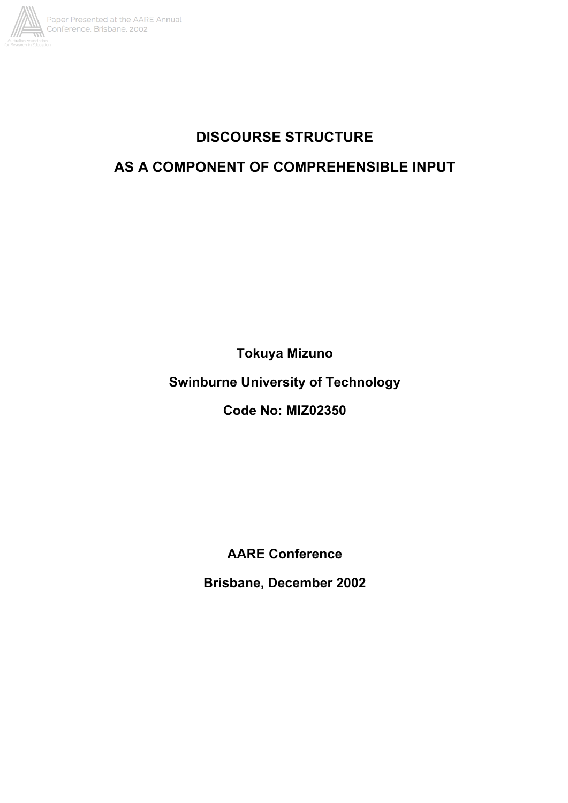

# **DISCOURSE STRUCTURE**

# **AS A COMPONENT OF COMPREHENSIBLE INPUT**

**Tokuya Mizuno**

**Swinburne University of Technology**

**Code No: MIZ02350**

**AARE Conference**

**Brisbane, December 2002**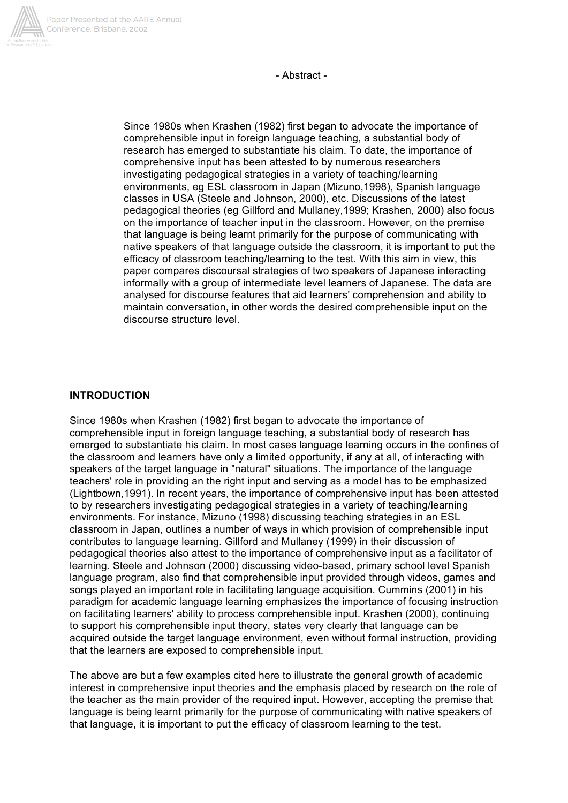

- Abstract -

Since 1980s when Krashen (1982) first began to advocate the importance of comprehensible input in foreign language teaching, a substantial body of research has emerged to substantiate his claim. To date, the importance of comprehensive input has been attested to by numerous researchers investigating pedagogical strategies in a variety of teaching/learning environments, eg ESL classroom in Japan (Mizuno,1998), Spanish language classes in USA (Steele and Johnson, 2000), etc. Discussions of the latest pedagogical theories (eg Gillford and Mullaney,1999; Krashen, 2000) also focus on the importance of teacher input in the classroom. However, on the premise that language is being learnt primarily for the purpose of communicating with native speakers of that language outside the classroom, it is important to put the efficacy of classroom teaching/learning to the test. With this aim in view, this paper compares discoursal strategies of two speakers of Japanese interacting informally with a group of intermediate level learners of Japanese. The data are analysed for discourse features that aid learners' comprehension and ability to maintain conversation, in other words the desired comprehensible input on the discourse structure level.

### **INTRODUCTION**

Since 1980s when Krashen (1982) first began to advocate the importance of comprehensible input in foreign language teaching, a substantial body of research has emerged to substantiate his claim. In most cases language learning occurs in the confines of the classroom and learners have only a limited opportunity, if any at all, of interacting with speakers of the target language in "natural" situations. The importance of the language teachers' role in providing an the right input and serving as a model has to be emphasized (Lightbown,1991). In recent years, the importance of comprehensive input has been attested to by researchers investigating pedagogical strategies in a variety of teaching/learning environments. For instance, Mizuno (1998) discussing teaching strategies in an ESL classroom in Japan, outlines a number of ways in which provision of comprehensible input contributes to language learning. Gillford and Mullaney (1999) in their discussion of pedagogical theories also attest to the importance of comprehensive input as a facilitator of learning. Steele and Johnson (2000) discussing video-based, primary school level Spanish language program, also find that comprehensible input provided through videos, games and songs played an important role in facilitating language acquisition. Cummins (2001) in his paradigm for academic language learning emphasizes the importance of focusing instruction on facilitating learners' ability to process comprehensible input. Krashen (2000), continuing to support his comprehensible input theory, states very clearly that language can be acquired outside the target language environment, even without formal instruction, providing that the learners are exposed to comprehensible input.

The above are but a few examples cited here to illustrate the general growth of academic interest in comprehensive input theories and the emphasis placed by research on the role of the teacher as the main provider of the required input. However, accepting the premise that language is being learnt primarily for the purpose of communicating with native speakers of that language, it is important to put the efficacy of classroom learning to the test.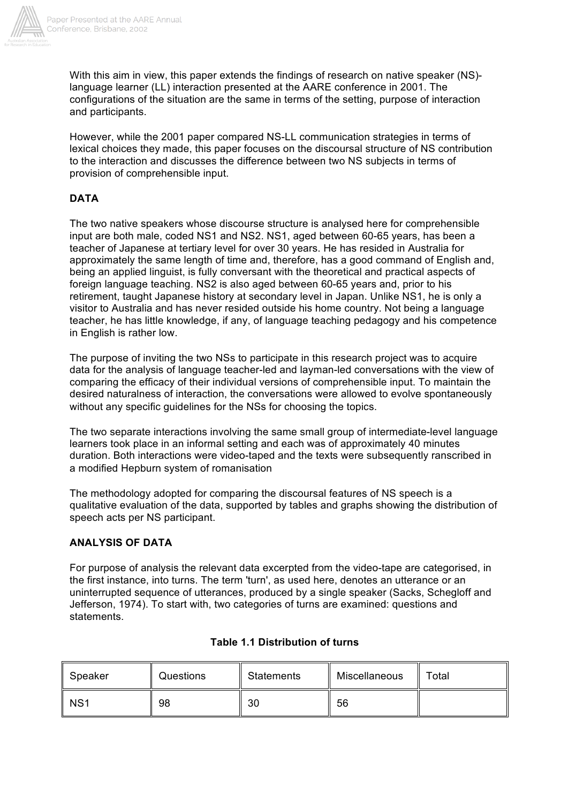

With this aim in view, this paper extends the findings of research on native speaker (NS)language learner (LL) interaction presented at the AARE conference in 2001. The configurations of the situation are the same in terms of the setting, purpose of interaction and participants.

However, while the 2001 paper compared NS-LL communication strategies in terms of lexical choices they made, this paper focuses on the discoursal structure of NS contribution to the interaction and discusses the difference between two NS subjects in terms of provision of comprehensible input.

## **DATA**

The two native speakers whose discourse structure is analysed here for comprehensible input are both male, coded NS1 and NS2. NS1, aged between 60-65 years, has been a teacher of Japanese at tertiary level for over 30 years. He has resided in Australia for approximately the same length of time and, therefore, has a good command of English and, being an applied linguist, is fully conversant with the theoretical and practical aspects of foreign language teaching. NS2 is also aged between 60-65 years and, prior to his retirement, taught Japanese history at secondary level in Japan. Unlike NS1, he is only a visitor to Australia and has never resided outside his home country. Not being a language teacher, he has little knowledge, if any, of language teaching pedagogy and his competence in English is rather low.

The purpose of inviting the two NSs to participate in this research project was to acquire data for the analysis of language teacher-led and layman-led conversations with the view of comparing the efficacy of their individual versions of comprehensible input. To maintain the desired naturalness of interaction, the conversations were allowed to evolve spontaneously without any specific guidelines for the NSs for choosing the topics.

The two separate interactions involving the same small group of intermediate-level language learners took place in an informal setting and each was of approximately 40 minutes duration. Both interactions were video-taped and the texts were subsequently ranscribed in a modified Hepburn system of romanisation

The methodology adopted for comparing the discoursal features of NS speech is a qualitative evaluation of the data, supported by tables and graphs showing the distribution of speech acts per NS participant.

#### **ANALYSIS OF DATA**

For purpose of analysis the relevant data excerpted from the video-tape are categorised, in the first instance, into turns. The term 'turn', as used here, denotes an utterance or an uninterrupted sequence of utterances, produced by a single speaker (Sacks, Schegloff and Jefferson, 1974). To start with, two categories of turns are examined: questions and statements.

| Speaker         | Questions | <b>Statements</b> | Miscellaneous | Total |
|-----------------|-----------|-------------------|---------------|-------|
| NS <sub>1</sub> | 98        | 30                | 56            |       |

## **Table 1.1 Distribution of turns**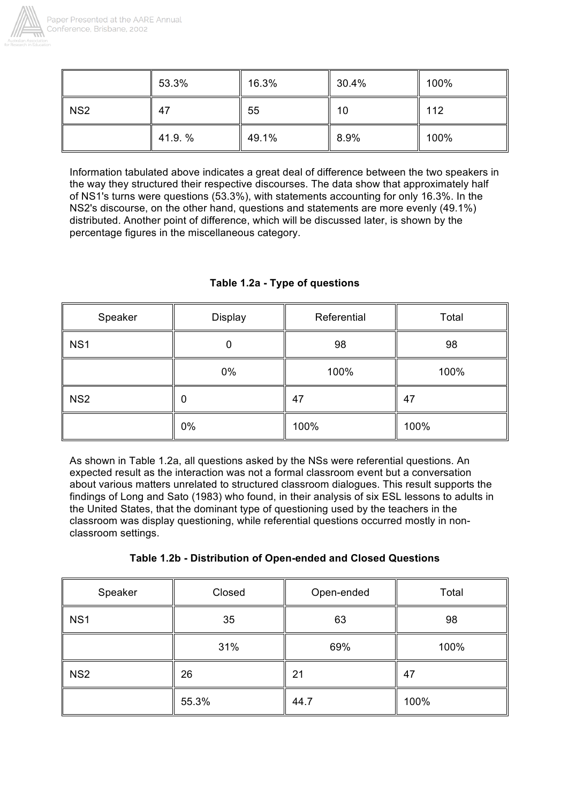

|                 | 53.3%  | 16.3% | 30.4% | 100% |
|-----------------|--------|-------|-------|------|
| NS <sub>2</sub> | -47    | 55    | 10    | 112  |
|                 | 41.9.% | 49.1% | 8.9%  | 100% |

Information tabulated above indicates a great deal of difference between the two speakers in the way they structured their respective discourses. The data show that approximately half of NS1's turns were questions (53.3%), with statements accounting for only 16.3%. In the NS2's discourse, on the other hand, questions and statements are more evenly (49.1%) distributed. Another point of difference, which will be discussed later, is shown by the percentage figures in the miscellaneous category.

| Speaker         | Display | Referential | Total |
|-----------------|---------|-------------|-------|
| NS <sub>1</sub> |         | 98          | 98    |
|                 | $0\%$   | 100%        | 100%  |
| NS <sub>2</sub> |         | 47          | 47    |
|                 | $0\%$   | 100%        | 100%  |

## **Table 1.2a - Type of questions**

As shown in Table 1.2a, all questions asked by the NSs were referential questions. An expected result as the interaction was not a formal classroom event but a conversation about various matters unrelated to structured classroom dialogues. This result supports the findings of Long and Sato (1983) who found, in their analysis of six ESL lessons to adults in the United States, that the dominant type of questioning used by the teachers in the classroom was display questioning, while referential questions occurred mostly in nonclassroom settings.

|  | Table 1.2b - Distribution of Open-ended and Closed Questions |  |  |
|--|--------------------------------------------------------------|--|--|
|--|--------------------------------------------------------------|--|--|

| Speaker         | Closed | Open-ended | Total |
|-----------------|--------|------------|-------|
| NS <sub>1</sub> | 35     | 63         | 98    |
|                 | 31%    | 69%        | 100%  |
| NS <sub>2</sub> | 26     | 21         | 47    |
|                 | 55.3%  | 44.7       | 100%  |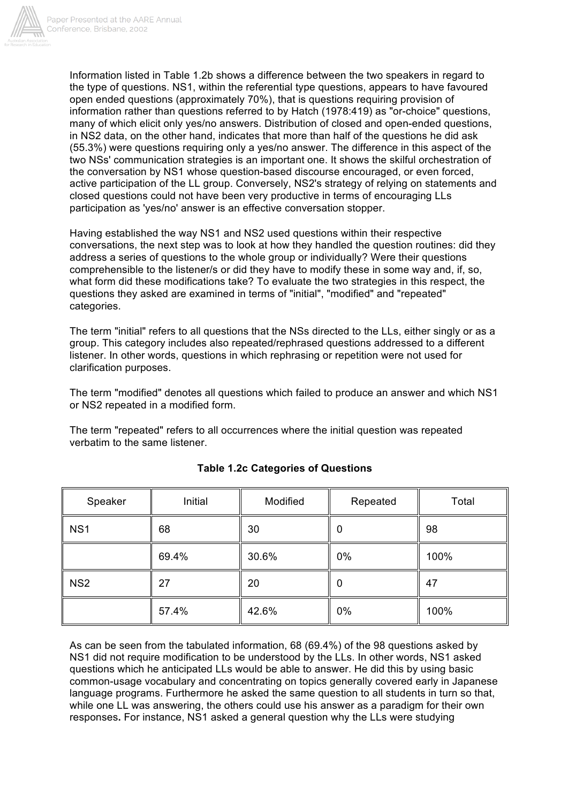

Information listed in Table 1.2b shows a difference between the two speakers in regard to the type of questions. NS1, within the referential type questions, appears to have favoured open ended questions (approximately 70%), that is questions requiring provision of information rather than questions referred to by Hatch (1978:419) as "or-choice" questions, many of which elicit only yes/no answers. Distribution of closed and open-ended questions, in NS2 data, on the other hand, indicates that more than half of the questions he did ask (55.3%) were questions requiring only a yes/no answer. The difference in this aspect of the two NSs' communication strategies is an important one. It shows the skilful orchestration of the conversation by NS1 whose question-based discourse encouraged, or even forced, active participation of the LL group. Conversely, NS2's strategy of relying on statements and closed questions could not have been very productive in terms of encouraging LLs participation as 'yes/no' answer is an effective conversation stopper.

Having established the way NS1 and NS2 used questions within their respective conversations, the next step was to look at how they handled the question routines: did they address a series of questions to the whole group or individually? Were their questions comprehensible to the listener/s or did they have to modify these in some way and, if, so, what form did these modifications take? To evaluate the two strategies in this respect, the questions they asked are examined in terms of "initial", "modified" and "repeated" categories.

The term "initial" refers to all questions that the NSs directed to the LLs, either singly or as a group. This category includes also repeated/rephrased questions addressed to a different listener. In other words, questions in which rephrasing or repetition were not used for clarification purposes.

The term "modified" denotes all questions which failed to produce an answer and which NS1 or NS2 repeated in a modified form.

The term "repeated" refers to all occurrences where the initial question was repeated verbatim to the same listener.

| Speaker         | Initial | Modified | Repeated | Total |
|-----------------|---------|----------|----------|-------|
| NS <sub>1</sub> | 68      | 30       | 0        | 98    |
|                 | 69.4%   | 30.6%    | 0%       | 100%  |
| NS <sub>2</sub> | 27      | 20       | 0        | 47    |
|                 | 57.4%   | 42.6%    | 0%       | 100%  |

## **Table 1.2c Categories of Questions**

As can be seen from the tabulated information, 68 (69.4%) of the 98 questions asked by NS1 did not require modification to be understood by the LLs. In other words, NS1 asked questions which he anticipated LLs would be able to answer. He did this by using basic common-usage vocabulary and concentrating on topics generally covered early in Japanese language programs. Furthermore he asked the same question to all students in turn so that, while one LL was answering, the others could use his answer as a paradigm for their own responses**.** For instance, NS1 asked a general question why the LLs were studying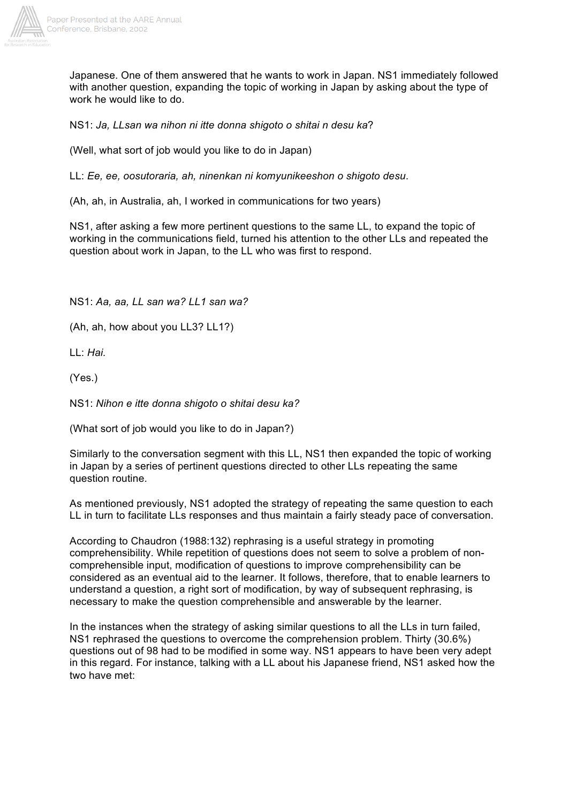

Japanese. One of them answered that he wants to work in Japan. NS1 immediately followed with another question, expanding the topic of working in Japan by asking about the type of work he would like to do.

NS1: *Ja, LLsan wa nihon ni itte donna shigoto o shitai n desu ka*?

(Well, what sort of job would you like to do in Japan)

LL: *Ee, ee, oosutoraria, ah, ninenkan ni komyunikeeshon o shigoto desu*.

(Ah, ah, in Australia, ah, I worked in communications for two years)

NS1, after asking a few more pertinent questions to the same LL, to expand the topic of working in the communications field, turned his attention to the other LLs and repeated the question about work in Japan, to the LL who was first to respond.

NS1: *Aa, aa, LL san wa? LL1 san wa?*

(Ah, ah, how about you LL3? LL1?)

LL: *Hai.*

(Yes.)

NS1: *Nihon e itte donna shigoto o shitai desu ka?*

(What sort of job would you like to do in Japan?)

Similarly to the conversation segment with this LL, NS1 then expanded the topic of working in Japan by a series of pertinent questions directed to other LLs repeating the same question routine.

As mentioned previously, NS1 adopted the strategy of repeating the same question to each LL in turn to facilitate LLs responses and thus maintain a fairly steady pace of conversation.

According to Chaudron (1988:132) rephrasing is a useful strategy in promoting comprehensibility. While repetition of questions does not seem to solve a problem of noncomprehensible input, modification of questions to improve comprehensibility can be considered as an eventual aid to the learner. It follows, therefore, that to enable learners to understand a question, a right sort of modification, by way of subsequent rephrasing, is necessary to make the question comprehensible and answerable by the learner.

In the instances when the strategy of asking similar questions to all the LLs in turn failed, NS1 rephrased the questions to overcome the comprehension problem. Thirty (30.6%) questions out of 98 had to be modified in some way. NS1 appears to have been very adept in this regard. For instance, talking with a LL about his Japanese friend, NS1 asked how the two have met: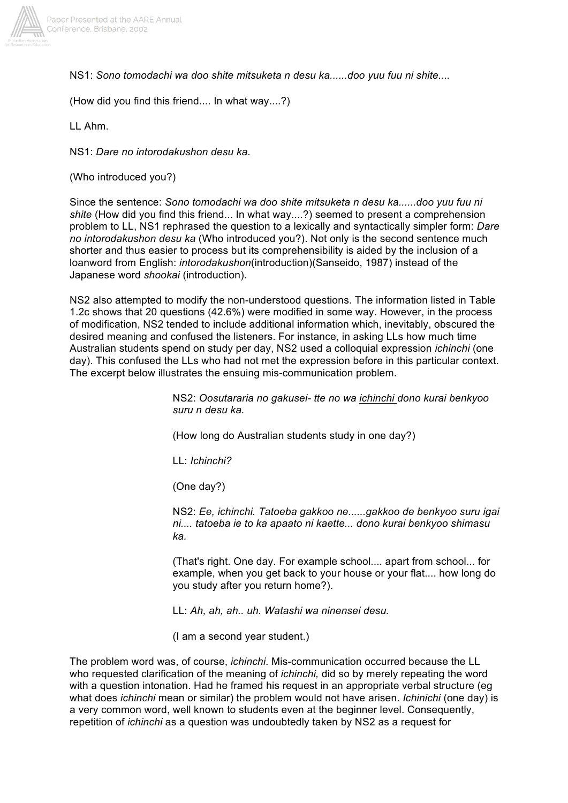

NS1: *Sono tomodachi wa doo shite mitsuketa n desu ka......doo yuu fuu ni shite....*

(How did you find this friend.... In what way....?)

LL Ahm.

NS1: *Dare no intorodakushon desu ka*.

(Who introduced you?)

Since the sentence: *Sono tomodachi wa doo shite mitsuketa n desu ka......doo yuu fuu ni shite* (How did you find this friend... In what way....?) seemed to present a comprehension problem to LL, NS1 rephrased the question to a lexically and syntactically simpler form: *Dare no intorodakushon desu ka* (Who introduced you?). Not only is the second sentence much shorter and thus easier to process but its comprehensibility is aided by the inclusion of a loanword from English: *intorodakushon*(introduction)(Sanseido, 1987) instead of the Japanese word *shookai* (introduction).

NS2 also attempted to modify the non-understood questions. The information listed in Table 1.2c shows that 20 questions (42.6%) were modified in some way. However, in the process of modification, NS2 tended to include additional information which, inevitably, obscured the desired meaning and confused the listeners. For instance, in asking LLs how much time Australian students spend on study per day, NS2 used a colloquial expression *ichinchi* (one day). This confused the LLs who had not met the expression before in this particular context. The excerpt below illustrates the ensuing mis-communication problem.

> NS2: *Oosutararia no gakusei- tte no wa ichinchi dono kurai benkyoo suru n desu ka.*

(How long do Australian students study in one day?)

LL: *Ichinchi?*

(One day?)

NS2: *Ee, ichinchi. Tatoeba gakkoo ne......gakkoo de benkyoo suru igai ni.... tatoeba ie to ka apaato ni kaette... dono kurai benkyoo shimasu ka.*

(That's right. One day. For example school.... apart from school... for example, when you get back to your house or your flat.... how long do you study after you return home?).

LL: *Ah, ah, ah.. uh. Watashi wa ninensei desu.*

(I am a second year student.)

The problem word was, of course, *ichinchi*. Mis-communication occurred because the LL who requested clarification of the meaning of *ichinchi,* did so by merely repeating the word with a question intonation. Had he framed his request in an appropriate verbal structure (eg what does *ichinchi* mean or similar) the problem would not have arisen. *Ichinichi* (one day) is a very common word, well known to students even at the beginner level. Consequently, repetition of *ichinchi* as a question was undoubtedly taken by NS2 as a request for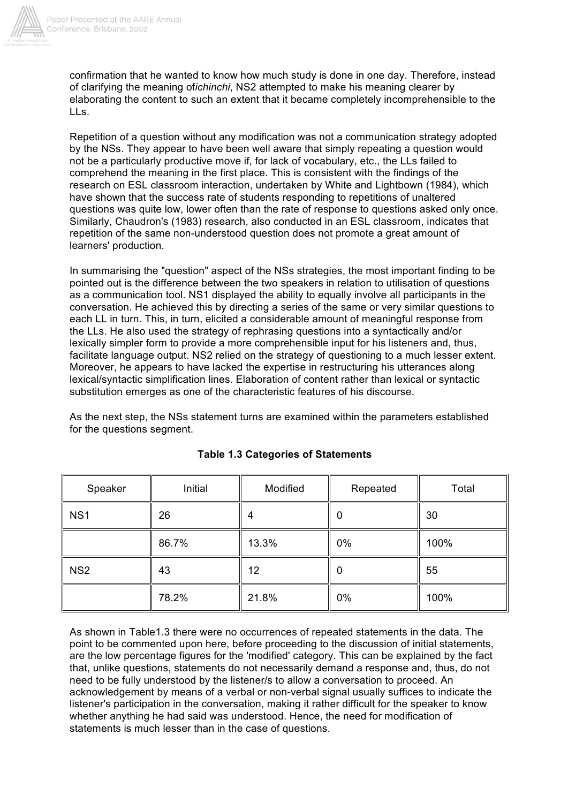

confirmation that he wanted to know how much study is done in one day. Therefore, instead of clarifying the meaning of*ichinchi*, NS2 attempted to make his meaning clearer by elaborating the content to such an extent that it became completely incomprehensible to the LLs.

Repetition of a question without any modification was not a communication strategy adopted by the NSs. They appear to have been well aware that simply repeating a question would not be a particularly productive move if, for lack of vocabulary, etc., the LLs failed to comprehend the meaning in the first place. This is consistent with the findings of the research on ESL classroom interaction, undertaken by White and Lightbown (1984), which have shown that the success rate of students responding to repetitions of unaltered questions was quite low, lower often than the rate of response to questions asked only once. Similarly, Chaudron's (1983) research, also conducted in an ESL classroom, indicates that repetition of the same non-understood question does not promote a great amount of learners' production.

In summarising the "question" aspect of the NSs strategies, the most important finding to be pointed out is the difference between the two speakers in relation to utilisation of questions as a communication tool. NS1 displayed the ability to equally involve all participants in the conversation. He achieved this by directing a series of the same or very similar questions to each LL in turn. This, in turn, elicited a considerable amount of meaningful response from the LLs. He also used the strategy of rephrasing questions into a syntactically and/or lexically simpler form to provide a more comprehensible input for his listeners and, thus, facilitate language output. NS2 relied on the strategy of questioning to a much lesser extent. Moreover, he appears to have lacked the expertise in restructuring his utterances along lexical/syntactic simplification lines. Elaboration of content rather than lexical or syntactic substitution emerges as one of the characteristic features of his discourse.

As the next step, the NSs statement turns are examined within the parameters established for the questions segment.

| Speaker         | Initial | Modified | Repeated | Total |
|-----------------|---------|----------|----------|-------|
| NS <sub>1</sub> | 26      | 4        | 0        | 30    |
|                 | 86.7%   | 13.3%    | 0%       | 100%  |
| NS <sub>2</sub> | 43      | 12       | 0        | 55    |
|                 | 78.2%   | 21.8%    | 0%       | 100%  |

## **Table 1.3 Categories of Statements**

As shown in Table1.3 there were no occurrences of repeated statements in the data. The point to be commented upon here, before proceeding to the discussion of initial statements, are the low percentage figures for the 'modified' category. This can be explained by the fact that, unlike questions, statements do not necessarily demand a response and, thus, do not need to be fully understood by the listener/s to allow a conversation to proceed. An acknowledgement by means of a verbal or non-verbal signal usually suffices to indicate the listener's participation in the conversation, making it rather difficult for the speaker to know whether anything he had said was understood. Hence, the need for modification of statements is much lesser than in the case of questions.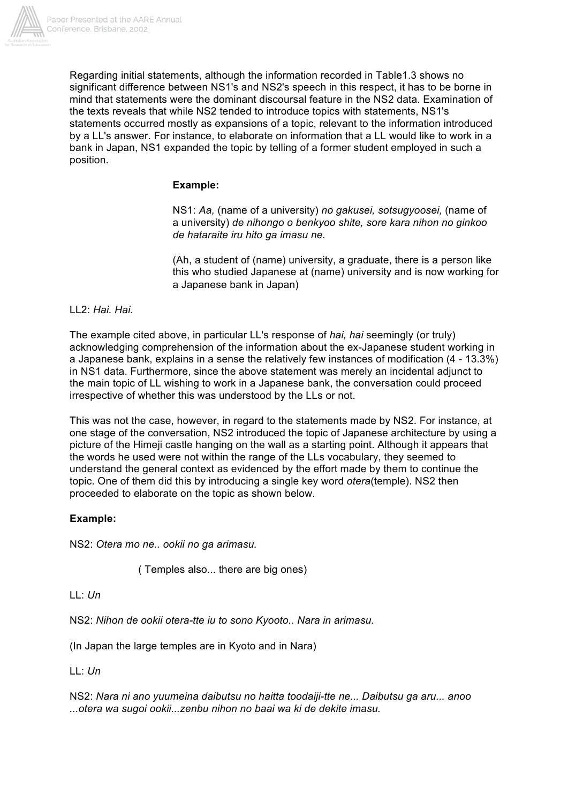

Regarding initial statements, although the information recorded in Table1.3 shows no significant difference between NS1's and NS2's speech in this respect, it has to be borne in mind that statements were the dominant discoursal feature in the NS2 data. Examination of the texts reveals that while NS2 tended to introduce topics with statements, NS1's statements occurred mostly as expansions of a topic, relevant to the information introduced by a LL's answer. For instance, to elaborate on information that a LL would like to work in a bank in Japan, NS1 expanded the topic by telling of a former student employed in such a position.

#### **Example:**

NS1: *Aa,* (name of a university) *no gakusei, sotsugyoosei,* (name of a university) *de nihongo o benkyoo shite, sore kara nihon no ginkoo de hataraite iru hito ga imasu ne.*

(Ah, a student of (name) university, a graduate, there is a person like this who studied Japanese at (name) university and is now working for a Japanese bank in Japan)

#### LL2: *Hai. Hai.*

The example cited above, in particular LL's response of *hai, hai* seemingly (or truly) acknowledging comprehension of the information about the ex-Japanese student working in a Japanese bank, explains in a sense the relatively few instances of modification (4 - 13.3%) in NS1 data. Furthermore, since the above statement was merely an incidental adjunct to the main topic of LL wishing to work in a Japanese bank, the conversation could proceed irrespective of whether this was understood by the LLs or not.

This was not the case, however, in regard to the statements made by NS2. For instance, at one stage of the conversation, NS2 introduced the topic of Japanese architecture by using a picture of the Himeji castle hanging on the wall as a starting point. Although it appears that the words he used were not within the range of the LLs vocabulary, they seemed to understand the general context as evidenced by the effort made by them to continue the topic. One of them did this by introducing a single key word *otera*(temple). NS2 then proceeded to elaborate on the topic as shown below.

#### **Example:**

NS2: *Otera mo ne.. ookii no ga arimasu.*

( Temples also... there are big ones)

 $11 \cdot l/n$ 

NS2: *Nihon de ookii otera-tte iu to sono Kyooto.. Nara in arimasu.*

(In Japan the large temples are in Kyoto and in Nara)

LL: *Un*

NS2: *Nara ni ano yuumeina daibutsu no haitta toodaiji-tte ne... Daibutsu ga aru... anoo ...otera wa sugoi ookii...zenbu nihon no baai wa ki de dekite imasu.*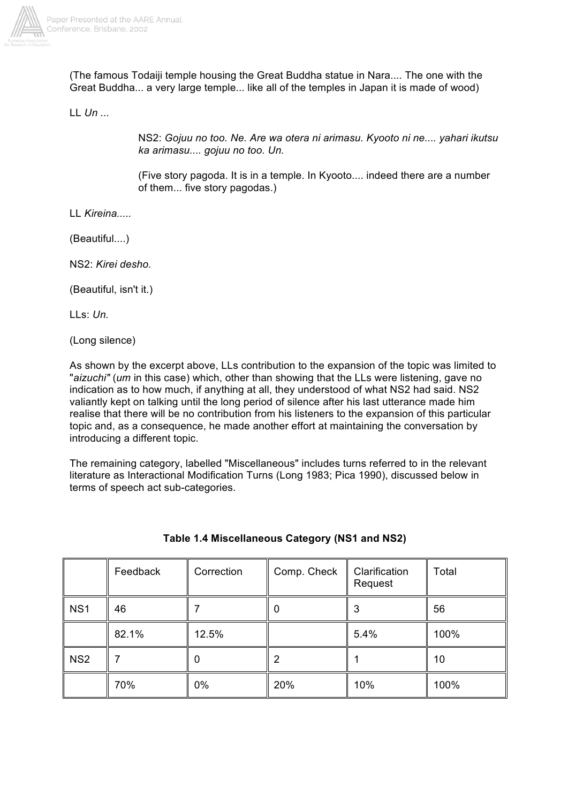

(The famous Todaiji temple housing the Great Buddha statue in Nara.... The one with the Great Buddha... a very large temple... like all of the temples in Japan it is made of wood)

LL *Un ...*

NS2: *Gojuu no too. Ne. Are wa otera ni arimasu. Kyooto ni ne.... yahari ikutsu ka arimasu.... gojuu no too. Un.*

(Five story pagoda. It is in a temple. In Kyooto.... indeed there are a number of them... five story pagodas.)

LL *Kireina.....*

(Beautiful....)

NS2: *Kirei desho.*

(Beautiful, isn't it.)

LLs: *Un.*

(Long silence)

As shown by the excerpt above, LLs contribution to the expansion of the topic was limited to "*aizuchi"* (*um* in this case) which, other than showing that the LLs were listening, gave no indication as to how much, if anything at all, they understood of what NS2 had said. NS2 valiantly kept on talking until the long period of silence after his last utterance made him realise that there will be no contribution from his listeners to the expansion of this particular topic and, as a consequence, he made another effort at maintaining the conversation by introducing a different topic.

The remaining category, labelled "Miscellaneous" includes turns referred to in the relevant literature as Interactional Modification Turns (Long 1983; Pica 1990), discussed below in terms of speech act sub-categories.

|                 | Feedback | Correction | Comp. Check | Clarification<br>Request | Total |
|-----------------|----------|------------|-------------|--------------------------|-------|
| NS <sub>1</sub> | 46       |            |             | 3                        | 56    |
|                 | 82.1%    | 12.5%      |             | 5.4%                     | 100%  |
| NS <sub>2</sub> |          |            |             |                          | 10    |
|                 | 70%      | 0%         | 20%         | 10%                      | 100%  |

## **Table 1.4 Miscellaneous Category (NS1 and NS2)**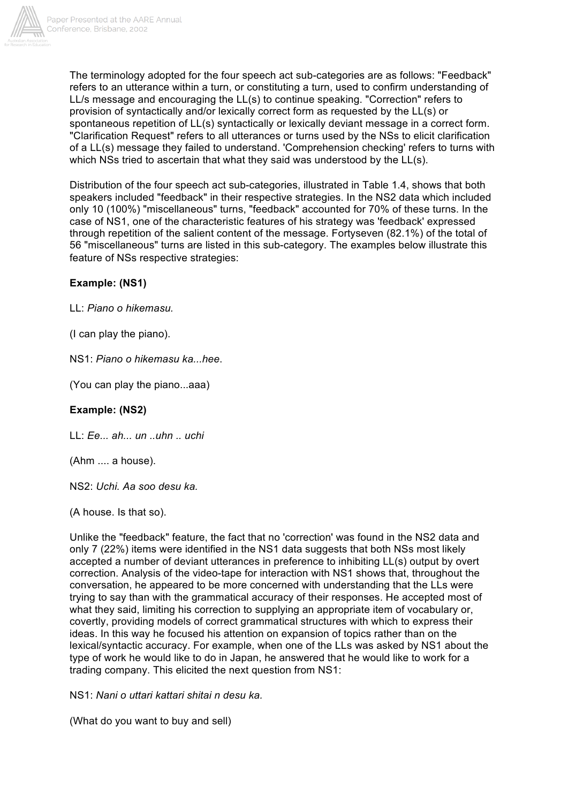

The terminology adopted for the four speech act sub-categories are as follows: "Feedback" refers to an utterance within a turn, or constituting a turn, used to confirm understanding of LL/s message and encouraging the LL(s) to continue speaking. "Correction" refers to provision of syntactically and/or lexically correct form as requested by the LL(s) or spontaneous repetition of LL(s) syntactically or lexically deviant message in a correct form. "Clarification Request" refers to all utterances or turns used by the NSs to elicit clarification of a LL(s) message they failed to understand. 'Comprehension checking' refers to turns with which NSs tried to ascertain that what they said was understood by the LL(s).

Distribution of the four speech act sub-categories, illustrated in Table 1.4, shows that both speakers included "feedback" in their respective strategies. In the NS2 data which included only 10 (100%) "miscellaneous" turns, "feedback" accounted for 70% of these turns. In the case of NS1, one of the characteristic features of his strategy was 'feedback' expressed through repetition of the salient content of the message. Fortyseven (82.1%) of the total of 56 "miscellaneous" turns are listed in this sub-category. The examples below illustrate this feature of NSs respective strategies:

## **Example: (NS1)**

LL: *Piano o hikemasu.*

(I can play the piano).

NS1: *Piano o hikemasu ka...hee*.

(You can play the piano...aaa)

#### **Example: (NS2)**

LL: *Ee... ah... un ..uhn .. uchi*

(Ahm .... a house).

NS2: *Uchi. Aa soo desu ka.*

(A house. Is that so).

Unlike the "feedback" feature, the fact that no 'correction' was found in the NS2 data and only 7 (22%) items were identified in the NS1 data suggests that both NSs most likely accepted a number of deviant utterances in preference to inhibiting LL(s) output by overt correction. Analysis of the video-tape for interaction with NS1 shows that, throughout the conversation, he appeared to be more concerned with understanding that the LLs were trying to say than with the grammatical accuracy of their responses. He accepted most of what they said, limiting his correction to supplying an appropriate item of vocabulary or, covertly, providing models of correct grammatical structures with which to express their ideas. In this way he focused his attention on expansion of topics rather than on the lexical/syntactic accuracy. For example, when one of the LLs was asked by NS1 about the type of work he would like to do in Japan, he answered that he would like to work for a trading company. This elicited the next question from NS1:

NS1: *Nani o uttari kattari shitai n desu ka.*

(What do you want to buy and sell)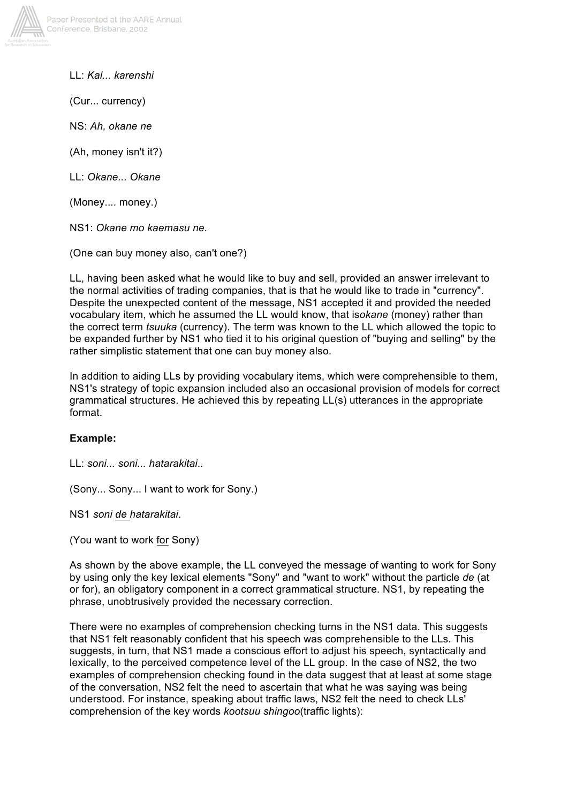

LL: *Kal... karenshi*

(Cur... currency)

NS: *Ah, okane ne*

(Ah, money isn't it?)

LL: *Okane... Okane*

(Money.... money.)

NS1: *Okane mo kaemasu ne.*

(One can buy money also, can't one?)

LL, having been asked what he would like to buy and sell, provided an answer irrelevant to the normal activities of trading companies, that is that he would like to trade in "currency". Despite the unexpected content of the message, NS1 accepted it and provided the needed vocabulary item, which he assumed the LL would know, that is*okane* (money) rather than the correct term *tsuuka* (currency). The term was known to the LL which allowed the topic to be expanded further by NS1 who tied it to his original question of "buying and selling" by the rather simplistic statement that one can buy money also.

In addition to aiding LLs by providing vocabulary items, which were comprehensible to them, NS1's strategy of topic expansion included also an occasional provision of models for correct grammatical structures. He achieved this by repeating LL(s) utterances in the appropriate format.

#### **Example:**

LL: *soni... soni... hatarakitai*..

(Sony... Sony... I want to work for Sony.)

NS1 *soni de hatarakitai*.

(You want to work for Sony)

As shown by the above example, the LL conveyed the message of wanting to work for Sony by using only the key lexical elements "Sony" and "want to work" without the particle *de* (at or for), an obligatory component in a correct grammatical structure. NS1, by repeating the phrase, unobtrusively provided the necessary correction.

There were no examples of comprehension checking turns in the NS1 data. This suggests that NS1 felt reasonably confident that his speech was comprehensible to the LLs. This suggests, in turn, that NS1 made a conscious effort to adjust his speech, syntactically and lexically, to the perceived competence level of the LL group. In the case of NS2, the two examples of comprehension checking found in the data suggest that at least at some stage of the conversation, NS2 felt the need to ascertain that what he was saying was being understood. For instance, speaking about traffic laws, NS2 felt the need to check LLs' comprehension of the key words *kootsuu shingoo*(traffic lights):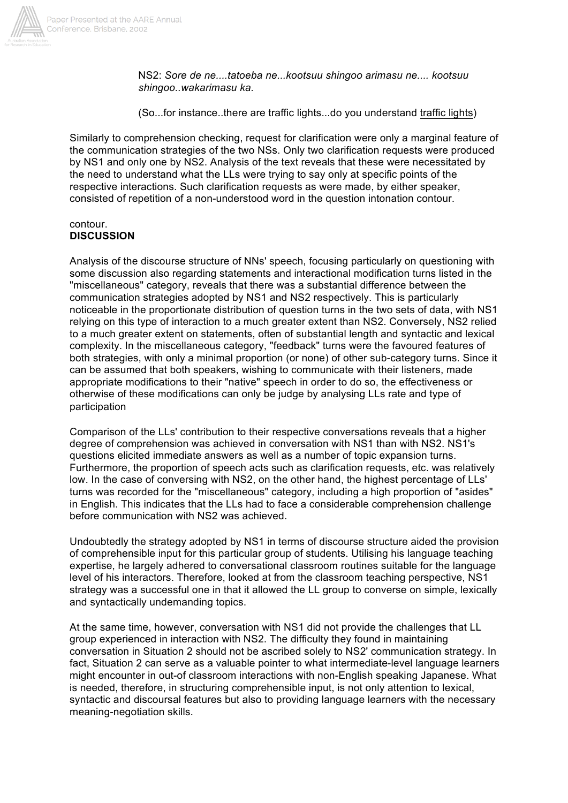

NS2: *Sore de ne....tatoeba ne...kootsuu shingoo arimasu ne.... kootsuu shingoo..wakarimasu ka.*

(So...for instance..there are traffic lights...do you understand traffic lights)

Similarly to comprehension checking, request for clarification were only a marginal feature of the communication strategies of the two NSs. Only two clarification requests were produced by NS1 and only one by NS2. Analysis of the text reveals that these were necessitated by the need to understand what the LLs were trying to say only at specific points of the respective interactions. Such clarification requests as were made, by either speaker, consisted of repetition of a non-understood word in the question intonation contour.

#### contour. **DISCUSSION**

Analysis of the discourse structure of NNs' speech, focusing particularly on questioning with some discussion also regarding statements and interactional modification turns listed in the "miscellaneous" category, reveals that there was a substantial difference between the communication strategies adopted by NS1 and NS2 respectively. This is particularly noticeable in the proportionate distribution of question turns in the two sets of data, with NS1 relying on this type of interaction to a much greater extent than NS2. Conversely, NS2 relied to a much greater extent on statements, often of substantial length and syntactic and lexical complexity. In the miscellaneous category, "feedback" turns were the favoured features of both strategies, with only a minimal proportion (or none) of other sub-category turns. Since it can be assumed that both speakers, wishing to communicate with their listeners, made appropriate modifications to their "native" speech in order to do so, the effectiveness or otherwise of these modifications can only be judge by analysing LLs rate and type of participation

Comparison of the LLs' contribution to their respective conversations reveals that a higher degree of comprehension was achieved in conversation with NS1 than with NS2. NS1's questions elicited immediate answers as well as a number of topic expansion turns. Furthermore, the proportion of speech acts such as clarification requests, etc. was relatively low. In the case of conversing with NS2, on the other hand, the highest percentage of LLs' turns was recorded for the "miscellaneous" category, including a high proportion of "asides" in English. This indicates that the LLs had to face a considerable comprehension challenge before communication with NS2 was achieved.

Undoubtedly the strategy adopted by NS1 in terms of discourse structure aided the provision of comprehensible input for this particular group of students. Utilising his language teaching expertise, he largely adhered to conversational classroom routines suitable for the language level of his interactors. Therefore, looked at from the classroom teaching perspective, NS1 strategy was a successful one in that it allowed the LL group to converse on simple, lexically and syntactically undemanding topics.

At the same time, however, conversation with NS1 did not provide the challenges that LL group experienced in interaction with NS2. The difficulty they found in maintaining conversation in Situation 2 should not be ascribed solely to NS2' communication strategy. In fact, Situation 2 can serve as a valuable pointer to what intermediate-level language learners might encounter in out-of classroom interactions with non-English speaking Japanese. What is needed, therefore, in structuring comprehensible input, is not only attention to lexical, syntactic and discoursal features but also to providing language learners with the necessary meaning-negotiation skills.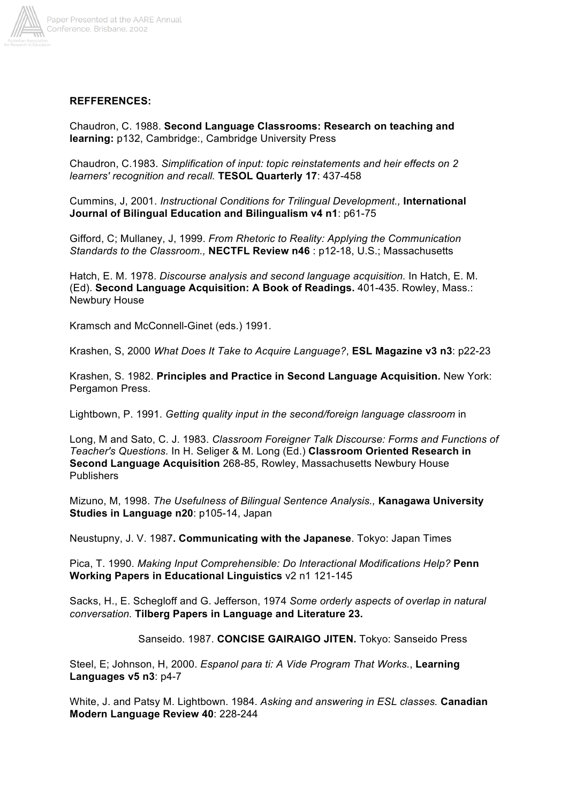

#### **REFFERENCES:**

Chaudron, C. 1988. **Second Language Classrooms: Research on teaching and learning:** p132, Cambridge:, Cambridge University Press

Chaudron, C.1983. *Simplification of input: topic reinstatements and heir effects on 2 learners' recognition and recall.* **TESOL Quarterly 17**: 437-458

Cummins, J, 2001. *Instructional Conditions for Trilingual Development.,* **International Journal of Bilingual Education and Bilingualism v4 n1**: p61-75

Gifford, C; Mullaney, J, 1999. *From Rhetoric to Reality: Applying the Communication Standards to the Classroom.,* **NECTFL Review n46** : p12-18, U.S.; Massachusetts

Hatch, E. M. 1978. *Discourse analysis and second language acquisition.* In Hatch, E. M. (Ed). **Second Language Acquisition: A Book of Readings.** 401-435. Rowley, Mass.: Newbury House

Kramsch and McConnell-Ginet (eds.) 1991.

Krashen, S, 2000 *What Does It Take to Acquire Language?*, **ESL Magazine v3 n3**: p22-23

Krashen, S. 1982. **Principles and Practice in Second Language Acquisition.** New York: Pergamon Press.

Lightbown, P. 1991. *Getting quality input in the second/foreign language classroom* in

Long, M and Sato, C. J. 1983. *Classroom Foreigner Talk Discourse: Forms and Functions of Teacher's Questions.* In H. Seliger & M. Long (Ed.) **Classroom Oriented Research in Second Language Acquisition** 268-85, Rowley, Massachusetts Newbury House **Publishers** 

Mizuno, M, 1998. *The Usefulness of Bilingual Sentence Analysis.,* **Kanagawa University Studies in Language n20**: p105-14, Japan

Neustupny, J. V. 1987**. Communicating with the Japanese**. Tokyo: Japan Times

Pica, T. 1990. *Making Input Comprehensible: Do Interactional Modifications Help?* **Penn Working Papers in Educational Linguistics** v2 n1 121-145

Sacks, H., E. Schegloff and G. Jefferson, 1974 *Some orderly aspects of overlap in natural conversation.* **Tilberg Papers in Language and Literature 23.**

Sanseido. 1987. **CONCISE GAIRAIGO JITEN.** Tokyo: Sanseido Press

Steel, E; Johnson, H, 2000. *Espanol para ti: A Vide Program That Works.*, **Learning Languages v5 n3**: p4-7

White, J. and Patsy M. Lightbown. 1984. *Asking and answering in ESL classes.* **Canadian Modern Language Review 40**: 228-244